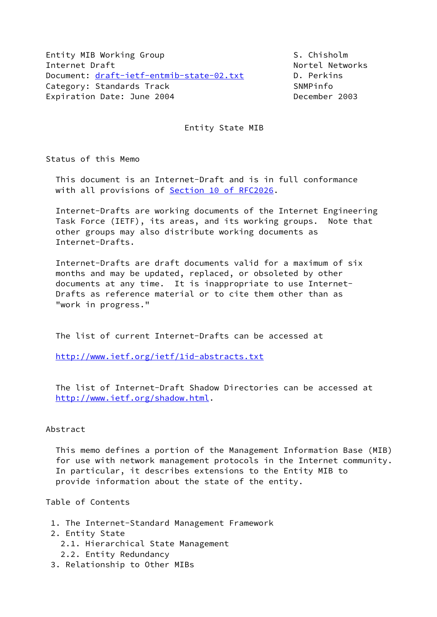Entity MIB Working Group S. Chisholm Internet Draft Nortel Networks Document: [draft-ietf-entmib-state-02.txt](https://datatracker.ietf.org/doc/pdf/draft-ietf-entmib-state-02.txt) D. Perkins Category: Standards Track SNMPinfo Expiration Date: June 2004 **December 2003** 

Entity State MIB

Status of this Memo

 This document is an Internet-Draft and is in full conformance with all provisions of Section [10 of RFC2026.](https://datatracker.ietf.org/doc/pdf/rfc2026#section-10)

 Internet-Drafts are working documents of the Internet Engineering Task Force (IETF), its areas, and its working groups. Note that other groups may also distribute working documents as Internet-Drafts.

 Internet-Drafts are draft documents valid for a maximum of six months and may be updated, replaced, or obsoleted by other documents at any time. It is inappropriate to use Internet- Drafts as reference material or to cite them other than as "work in progress."

The list of current Internet-Drafts can be accessed at

<http://www.ietf.org/ietf/1id-abstracts.txt>

 The list of Internet-Draft Shadow Directories can be accessed at <http://www.ietf.org/shadow.html>.

#### Abstract

 This memo defines a portion of the Management Information Base (MIB) for use with network management protocols in the Internet community. In particular, it describes extensions to the Entity MIB to provide information about the state of the entity.

Table of Contents

- 1. The Internet-Standard Management Framework
- 2. Entity State
	- 2.1. Hierarchical State Management
	- 2.2. Entity Redundancy
- 3. Relationship to Other MIBs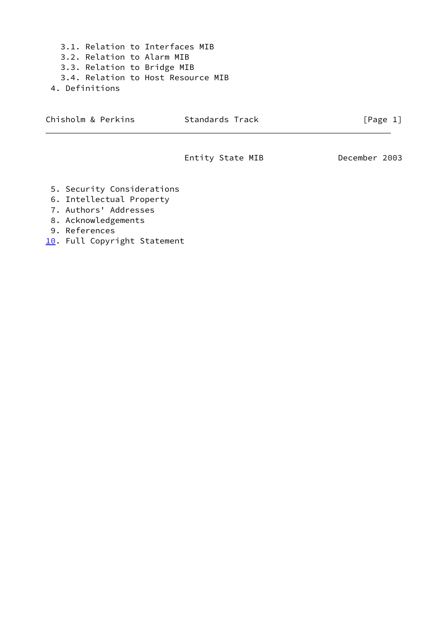3.1. Relation to Interfaces MIB 3.2. Relation to Alarm MIB 3.3. Relation to Bridge MIB 3.4. Relation to Host Resource MIB 4. Definitions

Chisholm & Perkins Standards Track [Page 1]

Entity State MIB December 2003

- 5. Security Considerations
- 6. Intellectual Property
- 7. Authors' Addresses
- 8. Acknowledgements
- 9. References
- <span id="page-1-0"></span>[10.](#page-1-0) Full Copyright Statement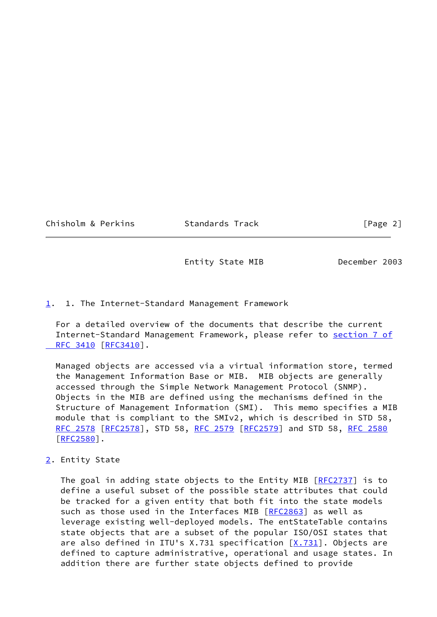Chisholm & Perkins Standards Track [Page 2]

Entity State MIB December 2003

# <span id="page-2-0"></span>[1](#page-2-0). 1. The Internet-Standard Management Framework

 For a detailed overview of the documents that describe the current Internet-Standard Management Framework, please refer to [section](https://datatracker.ietf.org/doc/pdf/rfc3410#section-7) 7 of RFC 3410 [\[RFC3410](https://datatracker.ietf.org/doc/pdf/rfc3410)].

 Managed objects are accessed via a virtual information store, termed the Management Information Base or MIB. MIB objects are generally accessed through the Simple Network Management Protocol (SNMP). Objects in the MIB are defined using the mechanisms defined in the Structure of Management Information (SMI). This memo specifies a MIB module that is compliant to the SMIv2, which is described in STD 58, [RFC 2578 \[RFC2578](https://datatracker.ietf.org/doc/pdf/rfc2578)], STD 58, [RFC 2579 \[RFC2579](https://datatracker.ietf.org/doc/pdf/rfc2579)] and STD 58, [RFC 2580](https://datatracker.ietf.org/doc/pdf/rfc2580) [\[RFC2580](https://datatracker.ietf.org/doc/pdf/rfc2580)].

# <span id="page-2-1"></span>[2](#page-2-1). Entity State

The goal in adding state objects to the Entity MIB [[RFC2737\]](https://datatracker.ietf.org/doc/pdf/rfc2737) is to define a useful subset of the possible state attributes that could be tracked for a given entity that both fit into the state models such as those used in the Interfaces MIB [\[RFC2863](https://datatracker.ietf.org/doc/pdf/rfc2863)] as well as leverage existing well-deployed models. The entStateTable contains state objects that are a subset of the popular ISO/OSI states that are also defined in ITU's X.731 specification  $[X.731]$  $[X.731]$ . Objects are defined to capture administrative, operational and usage states. In addition there are further state objects defined to provide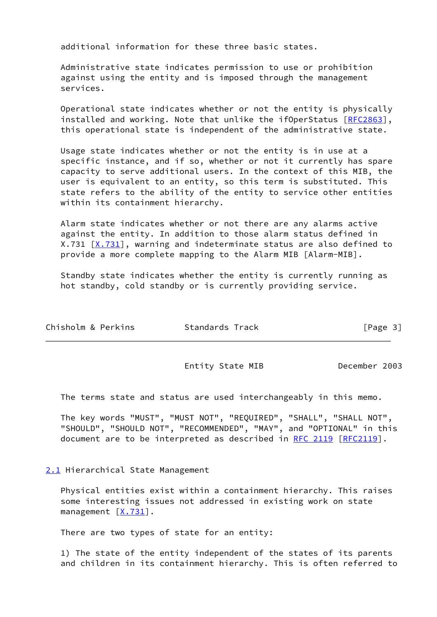additional information for these three basic states.

 Administrative state indicates permission to use or prohibition against using the entity and is imposed through the management services.

 Operational state indicates whether or not the entity is physically installed and working. Note that unlike the ifOperStatus [\[RFC2863](https://datatracker.ietf.org/doc/pdf/rfc2863)], this operational state is independent of the administrative state.

 Usage state indicates whether or not the entity is in use at a specific instance, and if so, whether or not it currently has spare capacity to serve additional users. In the context of this MIB, the user is equivalent to an entity, so this term is substituted. This state refers to the ability of the entity to service other entities within its containment hierarchy.

 Alarm state indicates whether or not there are any alarms active against the entity. In addition to those alarm status defined in  $X.731$   $[X.731]$  $[X.731]$ , warning and indeterminate status are also defined to provide a more complete mapping to the Alarm MIB [Alarm-MIB].

 Standby state indicates whether the entity is currently running as hot standby, cold standby or is currently providing service.

| Chisholm & Perkins | Standards Track | [Page 3] |
|--------------------|-----------------|----------|
|                    |                 |          |

Entity State MIB December 2003

The terms state and status are used interchangeably in this memo.

 The key words "MUST", "MUST NOT", "REQUIRED", "SHALL", "SHALL NOT", "SHOULD", "SHOULD NOT", "RECOMMENDED", "MAY", and "OPTIONAL" in this document are to be interpreted as described in [RFC 2119 \[RFC2119](https://datatracker.ietf.org/doc/pdf/rfc2119)].

# <span id="page-3-0"></span>[2.1](#page-3-0) Hierarchical State Management

 Physical entities exist within a containment hierarchy. This raises some interesting issues not addressed in existing work on state management [[X.731\]](#page-18-0).

There are two types of state for an entity:

 1) The state of the entity independent of the states of its parents and children in its containment hierarchy. This is often referred to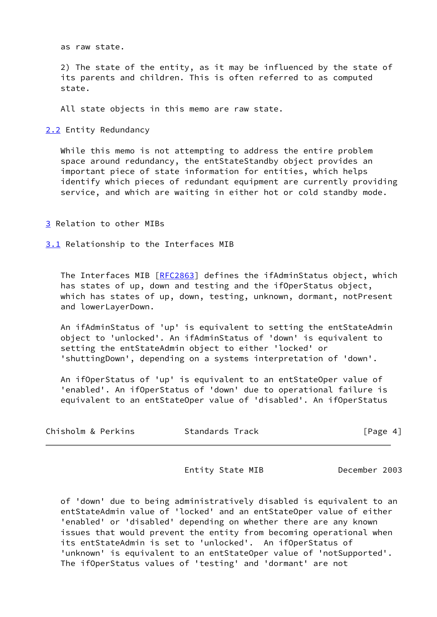as raw state.

 2) The state of the entity, as it may be influenced by the state of its parents and children. This is often referred to as computed state.

All state objects in this memo are raw state.

<span id="page-4-0"></span>[2.2](#page-4-0) Entity Redundancy

 While this memo is not attempting to address the entire problem space around redundancy, the entStateStandby object provides an important piece of state information for entities, which helps identify which pieces of redundant equipment are currently providing service, and which are waiting in either hot or cold standby mode.

<span id="page-4-1"></span>[3](#page-4-1) Relation to other MIBs

<span id="page-4-2"></span>[3.1](#page-4-2) Relationship to the Interfaces MIB

The Interfaces MIB [[RFC2863\]](https://datatracker.ietf.org/doc/pdf/rfc2863) defines the ifAdminStatus object, which has states of up, down and testing and the ifOperStatus object, which has states of up, down, testing, unknown, dormant, notPresent and lowerLayerDown.

 An ifAdminStatus of 'up' is equivalent to setting the entStateAdmin object to 'unlocked'. An ifAdminStatus of 'down' is equivalent to setting the entStateAdmin object to either 'locked' or 'shuttingDown', depending on a systems interpretation of 'down'.

 An ifOperStatus of 'up' is equivalent to an entStateOper value of 'enabled'. An ifOperStatus of 'down' due to operational failure is equivalent to an entStateOper value of 'disabled'. An ifOperStatus

| Chisholm & Perkins | Standards Track | [Page 4] |
|--------------------|-----------------|----------|
|--------------------|-----------------|----------|

Entity State MIB December 2003

 of 'down' due to being administratively disabled is equivalent to an entStateAdmin value of 'locked' and an entStateOper value of either 'enabled' or 'disabled' depending on whether there are any known issues that would prevent the entity from becoming operational when its entStateAdmin is set to 'unlocked'. An ifOperStatus of 'unknown' is equivalent to an entStateOper value of 'notSupported'. The ifOperStatus values of 'testing' and 'dormant' are not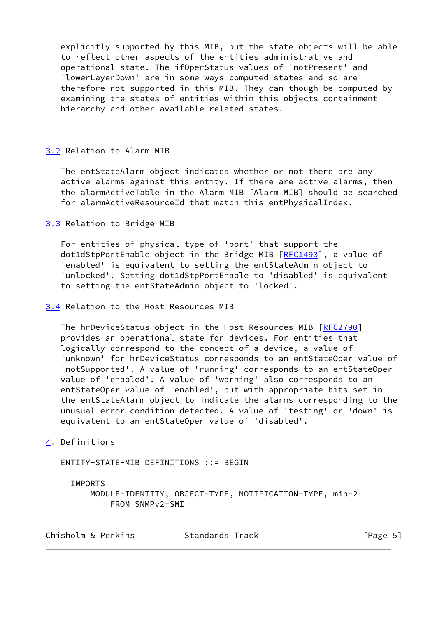explicitly supported by this MIB, but the state objects will be able to reflect other aspects of the entities administrative and operational state. The ifOperStatus values of 'notPresent' and 'lowerLayerDown' are in some ways computed states and so are therefore not supported in this MIB. They can though be computed by examining the states of entities within this objects containment hierarchy and other available related states.

# <span id="page-5-0"></span>[3.2](#page-5-0) Relation to Alarm MIB

 The entStateAlarm object indicates whether or not there are any active alarms against this entity. If there are active alarms, then the alarmActiveTable in the Alarm MIB [Alarm MIB] should be searched for alarmActiveResourceId that match this entPhysicalIndex.

<span id="page-5-1"></span>[3.3](#page-5-1) Relation to Bridge MIB

 For entities of physical type of 'port' that support the dot1dStpPortEnable object in the Bridge MIB [\[RFC1493](https://datatracker.ietf.org/doc/pdf/rfc1493)], a value of 'enabled' is equivalent to setting the entStateAdmin object to 'unlocked'. Setting dot1dStpPortEnable to 'disabled' is equivalent to setting the entStateAdmin object to 'locked'.

### <span id="page-5-2"></span>[3.4](#page-5-2) Relation to the Host Resources MIB

The hrDeviceStatus object in the Host Resources MIB [\[RFC2790](https://datatracker.ietf.org/doc/pdf/rfc2790)] provides an operational state for devices. For entities that logically correspond to the concept of a device, a value of 'unknown' for hrDeviceStatus corresponds to an entStateOper value of 'notSupported'. A value of 'running' corresponds to an entStateOper value of 'enabled'. A value of 'warning' also corresponds to an entStateOper value of 'enabled', but with appropriate bits set in the entStateAlarm object to indicate the alarms corresponding to the unusual error condition detected. A value of 'testing' or 'down' is equivalent to an entStateOper value of 'disabled'.

# <span id="page-5-3"></span>[4](#page-5-3). Definitions

ENTITY-STATE-MIB DEFINITIONS ::= BEGIN

# IMPORTS

 MODULE-IDENTITY, OBJECT-TYPE, NOTIFICATION-TYPE, mib-2 FROM SNMPv2-SMI

Chisholm & Perkins Standards Track [Page 5]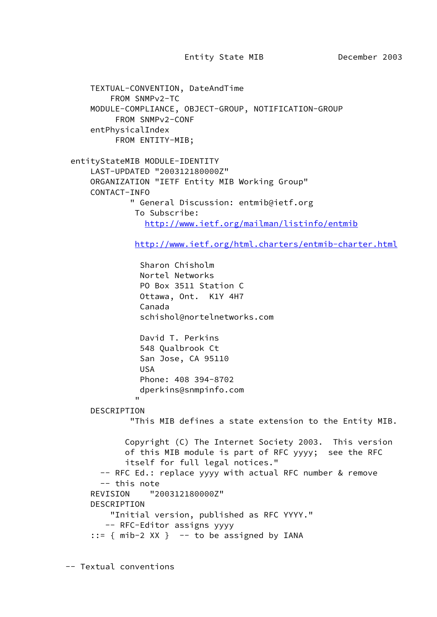Entity State MIB December 2003

```
 TEXTUAL-CONVENTION, DateAndTime
                 FROM SNMPv2-TC
           MODULE-COMPLIANCE, OBJECT-GROUP, NOTIFICATION-GROUP
                  FROM SNMPv2-CONF
            entPhysicalIndex
                  FROM ENTITY-MIB;
      entityStateMIB MODULE-IDENTITY
            LAST-UPDATED "200312180000Z"
           ORGANIZATION "IETF Entity MIB Working Group"
            CONTACT-INFO
                     " General Discussion: entmib@ietf.org
                      To Subscribe:
                         http://www.ietf.org/mailman/listinfo/entmib
                       http://www.ietf.org/html.charters/entmib-charter.html
                        Sharon Chisholm
                        Nortel Networks
                        PO Box 3511 Station C
                        Ottawa, Ont. K1Y 4H7
                        Canada
                        schishol@nortelnetworks.com
                        David T. Perkins
                        548 Qualbrook Ct
                        San Jose, CA 95110
                        USA
                        Phone: 408 394-8702
                        dperkins@snmpinfo.com
" "The contract of the contract of the contract of the contract of the contract of the contract of the contract of the contract of the contract of the contract of the contract of the contract of the contract of the contrac
            DESCRIPTION
                     "This MIB defines a state extension to the Entity MIB.
                    Copyright (C) The Internet Society 2003. This version
                    of this MIB module is part of RFC yyyy; see the RFC
                    itself for full legal notices."
              -- RFC Ed.: replace yyyy with actual RFC number & remove
              -- this note
            REVISION "200312180000Z"
            DESCRIPTION
                 "Initial version, published as RFC YYYY."
               -- RFC-Editor assigns yyyy
           ::= { mib-2 XX } -- to be assigned by IANA
```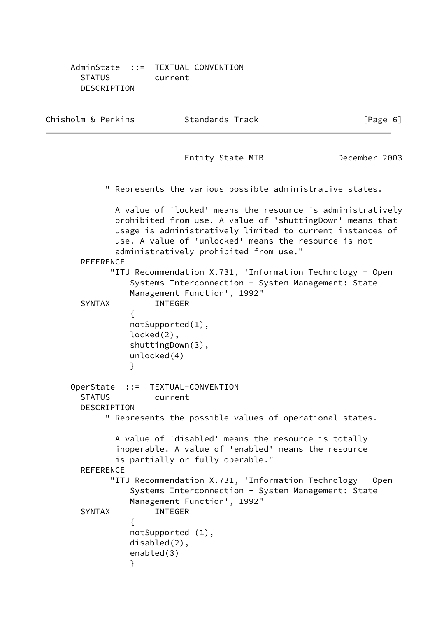AdminState ::= TEXTUAL-CONVENTION STATUS current DESCRIPTION

Chisholm & Perkins Standards Track [Page 6] Entity State MIB December 2003 " Represents the various possible administrative states. A value of 'locked' means the resource is administratively prohibited from use. A value of 'shuttingDown' means that usage is administratively limited to current instances of use. A value of 'unlocked' means the resource is not administratively prohibited from use." **REFERENCE**  "ITU Recommendation X.731, 'Information Technology - Open Systems Interconnection - System Management: State Management Function', 1992" SYNTAX INTEGER  $\{$  notSupported(1), locked(2), shuttingDown(3), unlocked(4) } OperState ::= TEXTUAL-CONVENTION STATUS current DESCRIPTION " Represents the possible values of operational states. A value of 'disabled' means the resource is totally inoperable. A value of 'enabled' means the resource is partially or fully operable." REFERENCE "ITU Recommendation X.731, 'Information Technology - Open Systems Interconnection - System Management: State Management Function', 1992" SYNTAX INTEGER  $\{$  notSupported (1), disabled(2), enabled(3) }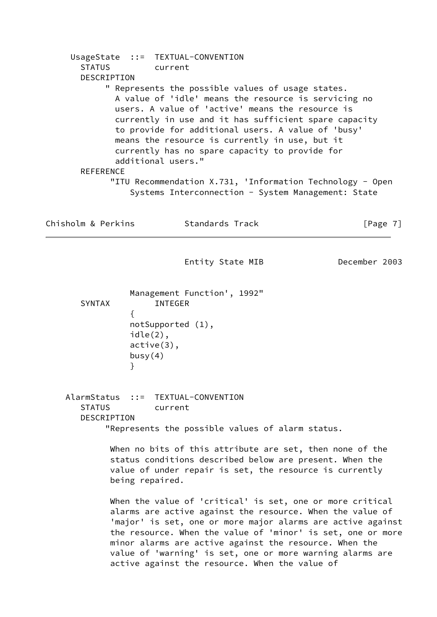UsageState ::= TEXTUAL-CONVENTION STATUS current DESCRIPTION " Represents the possible values of usage states. A value of 'idle' means the resource is servicing no users. A value of 'active' means the resource is currently in use and it has sufficient spare capacity to provide for additional users. A value of 'busy' means the resource is currently in use, but it currently has no spare capacity to provide for additional users." **REFERENCE**  "ITU Recommendation X.731, 'Information Technology - Open Systems Interconnection - System Management: State Chisholm & Perkins Standards Track [Page 7] Entity State MIB December 2003 Management Function', 1992" SYNTAX INTEGER  $\{$  notSupported (1), idle(2), active(3),  $busy(4)$  } AlarmStatus ::= TEXTUAL-CONVENTION STATUS current DESCRIPTION "Represents the possible values of alarm status. When no bits of this attribute are set, then none of the status conditions described below are present. When the value of under repair is set, the resource is currently being repaired. When the value of 'critical' is set, one or more critical alarms are active against the resource. When the value of 'major' is set, one or more major alarms are active against the resource. When the value of 'minor' is set, one or more minor alarms are active against the resource. When the value of 'warning' is set, one or more warning alarms are active against the resource. When the value of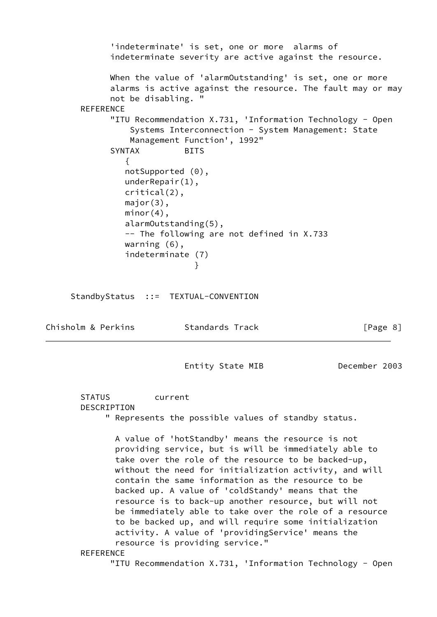'indeterminate' is set, one or more alarms of indeterminate severity are active against the resource. When the value of 'alarmOutstanding' is set, one or more alarms is active against the resource. The fault may or may not be disabling. " **REFERENCE**  "ITU Recommendation X.731, 'Information Technology - Open Systems Interconnection - System Management: State Management Function', 1992" SYNTAX BITS  $\{$  notSupported (0), underRepair(1), critical(2), major(3),  $minor(4)$ , alarmOutstanding(5), -- The following are not defined in X.733 warning (6), indeterminate (7) } StandbyStatus ::= TEXTUAL-CONVENTION Chisholm & Perkins Standards Track [Page 8] Entity State MIB December 2003 STATUS current DESCRIPTION " Represents the possible values of standby status.

 A value of 'hotStandby' means the resource is not providing service, but is will be immediately able to take over the role of the resource to be backed-up, without the need for initialization activity, and will contain the same information as the resource to be backed up. A value of 'coldStandy' means that the resource is to back-up another resource, but will not be immediately able to take over the role of a resource to be backed up, and will require some initialization activity. A value of 'providingService' means the resource is providing service."

**REFERENCE** 

"ITU Recommendation X.731, 'Information Technology - Open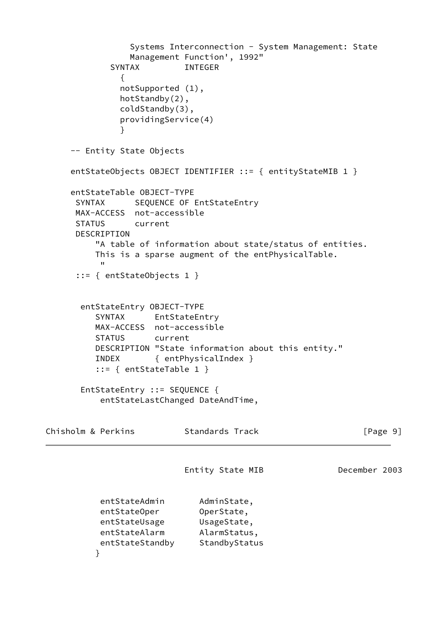```
 Systems Interconnection - System Management: State
                Management Function', 1992"
            SYNTAX INTEGER
\{ notSupported (1),
              hotStandby(2),
              coldStandby(3),
              providingService(4)
 }
     -- Entity State Objects
    entStateObjects OBJECT IDENTIFIER ::= { entityStateMIB 1 }
     entStateTable OBJECT-TYPE
     SYNTAX SEQUENCE OF EntStateEntry
      MAX-ACCESS not-accessible
      STATUS current
      DESCRIPTION
          "A table of information about state/status of entities.
          This is a sparse augment of the entPhysicalTable.
 "
      ::= { entStateObjects 1 }
       entStateEntry OBJECT-TYPE
          SYNTAX EntStateEntry
          MAX-ACCESS not-accessible
          STATUS current
          DESCRIPTION "State information about this entity."
          INDEX { entPhysicalIndex }
          ::= { entStateTable 1 }
       EntStateEntry ::= SEQUENCE {
           entStateLastChanged DateAndTime,
Chisholm & Perkins Standards Track [Page 9]
                         Entity State MIB December 2003
         entStateAdmin AdminState,
         entStateOper OperState,
          entStateUsage UsageState,
          entStateAlarm AlarmStatus,
         entStateStandby StandbyStatus
 }
```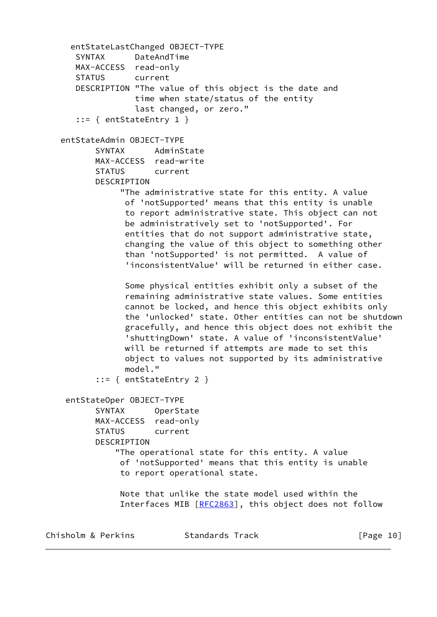```
 entStateLastChanged OBJECT-TYPE
    SYNTAX DateAndTime
   MAX-ACCESS read-only
    STATUS current
    DESCRIPTION "The value of this object is the date and
                time when state/status of the entity
                last changed, or zero."
    ::= { entStateEntry 1 }
 entStateAdmin OBJECT-TYPE
        SYNTAX AdminState
        MAX-ACCESS read-write
        STATUS current
        DESCRIPTION
             "The administrative state for this entity. A value
              of 'notSupported' means that this entity is unable
              to report administrative state. This object can not
              be administratively set to 'notSupported'. For
              entities that do not support administrative state,
              changing the value of this object to something other
              than 'notSupported' is not permitted. A value of
              'inconsistentValue' will be returned in either case.
              Some physical entities exhibit only a subset of the
              remaining administrative state values. Some entities
              cannot be locked, and hence this object exhibits only
              the 'unlocked' state. Other entities can not be shutdown
              gracefully, and hence this object does not exhibit the
              'shuttingDown' state. A value of 'inconsistentValue'
              will be returned if attempts are made to set this
              object to values not supported by its administrative
              model."
        ::= { entStateEntry 2 }
  entStateOper OBJECT-TYPE
        SYNTAX OperState
        MAX-ACCESS read-only
        STATUS current
        DESCRIPTION
            "The operational state for this entity. A value
             of 'notSupported' means that this entity is unable
             to report operational state.
             Note that unlike the state model used within the
            RFC2863], this object does not follow
```
Chisholm & Perkins Standards Track [Page 10]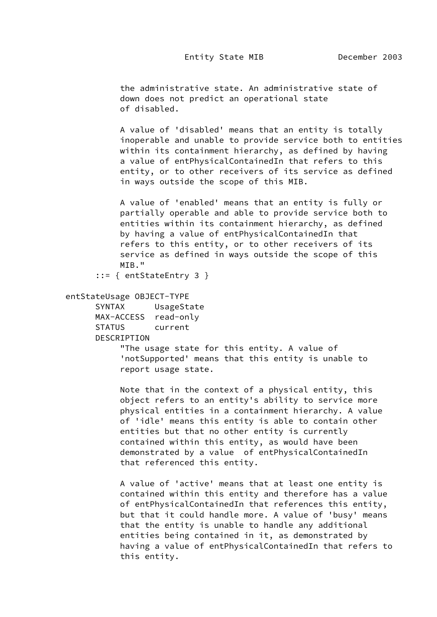the administrative state. An administrative state of down does not predict an operational state of disabled.

 A value of 'disabled' means that an entity is totally inoperable and unable to provide service both to entities within its containment hierarchy, as defined by having a value of entPhysicalContainedIn that refers to this entity, or to other receivers of its service as defined in ways outside the scope of this MIB.

 A value of 'enabled' means that an entity is fully or partially operable and able to provide service both to entities within its containment hierarchy, as defined by having a value of entPhysicalContainedIn that refers to this entity, or to other receivers of its service as defined in ways outside the scope of this MIB."

::= { entStateEntry 3 }

#### entStateUsage OBJECT-TYPE

 SYNTAX UsageState MAX-ACCESS read-only STATUS current

DESCRIPTION

 "The usage state for this entity. A value of 'notSupported' means that this entity is unable to report usage state.

 Note that in the context of a physical entity, this object refers to an entity's ability to service more physical entities in a containment hierarchy. A value of 'idle' means this entity is able to contain other entities but that no other entity is currently contained within this entity, as would have been demonstrated by a value of entPhysicalContainedIn that referenced this entity.

 A value of 'active' means that at least one entity is contained within this entity and therefore has a value of entPhysicalContainedIn that references this entity, but that it could handle more. A value of 'busy' means that the entity is unable to handle any additional entities being contained in it, as demonstrated by having a value of entPhysicalContainedIn that refers to this entity.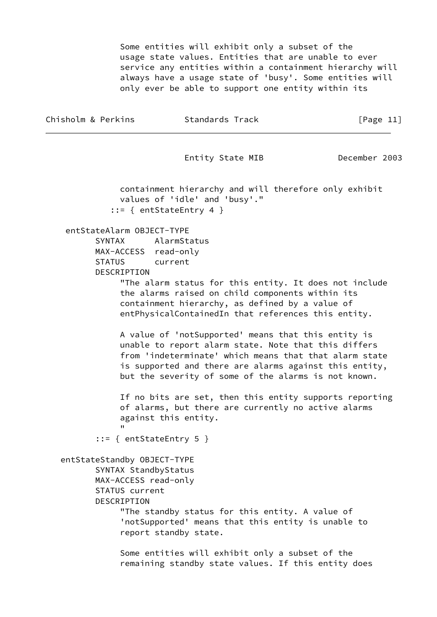Some entities will exhibit only a subset of the usage state values. Entities that are unable to ever service any entities within a containment hierarchy will always have a usage state of 'busy'. Some entities will only ever be able to support one entity within its

| Chisholm & Perkins                                                                                           | Standards Track                                                                                                                                                                                                                                                                         | [Page $11$ ]  |
|--------------------------------------------------------------------------------------------------------------|-----------------------------------------------------------------------------------------------------------------------------------------------------------------------------------------------------------------------------------------------------------------------------------------|---------------|
|                                                                                                              | Entity State MIB                                                                                                                                                                                                                                                                        | December 2003 |
|                                                                                                              | containment hierarchy and will therefore only exhibit<br>values of 'idle' and 'busy'."<br>$::=$ { entStateEntry 4 }                                                                                                                                                                     |               |
| entStateAlarm OBJECT-TYPE<br>SYNTAX<br>MAX-ACCESS read-only<br><b>STATUS</b><br>DESCRIPTION                  | AlarmStatus<br>current<br>"The alarm status for this entity. It does not include<br>the alarms raised on child components within its<br>containment hierarchy, as defined by a value of<br>entPhysicalContainedIn that references this entity.                                          |               |
|                                                                                                              | A value of 'notSupported' means that this entity is<br>unable to report alarm state. Note that this differs<br>from 'indeterminate' which means that that alarm state<br>is supported and there are alarms against this entity,<br>but the severity of some of the alarms is not known. |               |
|                                                                                                              | If no bits are set, then this entity supports reporting<br>of alarms, but there are currently no active alarms<br>against this entity.                                                                                                                                                  |               |
| $::=$ { entStateEntry 5 }                                                                                    |                                                                                                                                                                                                                                                                                         |               |
| entStateStandby OBJECT-TYPE<br>SYNTAX StandbyStatus<br>MAX-ACCESS read-only<br>STATUS current<br>DESCRIPTION | "The standby status for this entity. A value of<br>'notSupported' means that this entity is unable to<br>report standby state.                                                                                                                                                          |               |
|                                                                                                              | Some entities will exhibit only a subset of the<br>remaining standby state values. If this entity does                                                                                                                                                                                  |               |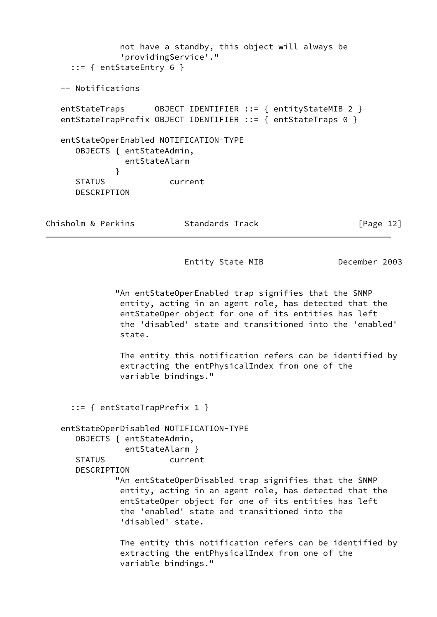```
 not have a standby, this object will always be
               'providingService'."
      ::= { entStateEntry 6 }
   -- Notifications
   entStateTraps OBJECT IDENTIFIER ::= { entityStateMIB 2 }
  entStateTrapPrefix OBJECT IDENTIFIER ::= { entStateTraps 0 }
   entStateOperEnabled NOTIFICATION-TYPE
      OBJECTS { entStateAdmin,
                entStateAlarm
 }
      STATUS current
      DESCRIPTION
Chisholm & Perkins Standards Track [Page 12]
                           Entity State MIB December 2003
              "An entStateOperEnabled trap signifies that the SNMP
               entity, acting in an agent role, has detected that the
               entStateOper object for one of its entities has left
               the 'disabled' state and transitioned into the 'enabled'
               state.
               The entity this notification refers can be identified by
               extracting the entPhysicalIndex from one of the
               variable bindings."
      ::= { entStateTrapPrefix 1 }
   entStateOperDisabled NOTIFICATION-TYPE
      OBJECTS { entStateAdmin,
                entStateAlarm }
      STATUS current
      DESCRIPTION
              "An entStateOperDisabled trap signifies that the SNMP
               entity, acting in an agent role, has detected that the
               entStateOper object for one of its entities has left
               the 'enabled' state and transitioned into the
               'disabled' state.
               The entity this notification refers can be identified by
               extracting the entPhysicalIndex from one of the
               variable bindings."
```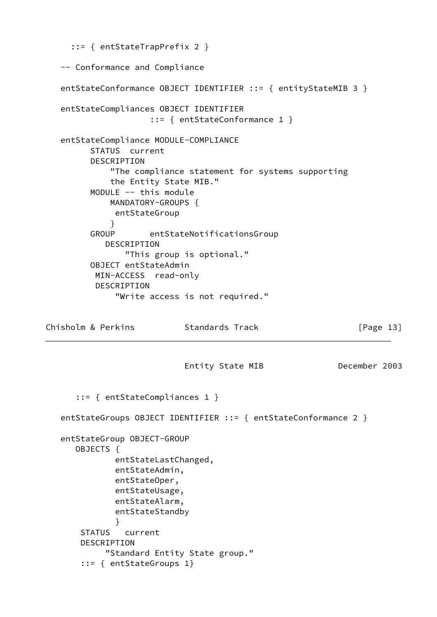```
 ::= { entStateTrapPrefix 2 }
   -- Conformance and Compliance
  entStateConformance OBJECT IDENTIFIER ::= { entityStateMIB 3 }
   entStateCompliances OBJECT IDENTIFIER
                     ::= { entStateConformance 1 }
   entStateCompliance MODULE-COMPLIANCE
         STATUS current
         DESCRIPTION
             "The compliance statement for systems supporting
             the Entity State MIB."
         MODULE -- this module
             MANDATORY-GROUPS {
              entStateGroup
 }
         GROUP entStateNotificationsGroup
            DESCRIPTION
                "This group is optional."
         OBJECT entStateAdmin
          MIN-ACCESS read-only
          DESCRIPTION
              "Write access is not required."
Chisholm & Perkins Standards Track [Page 13]
                           Entity State MIB December 2003
      ::= { entStateCompliances 1 }
  entStateGroups OBJECT IDENTIFIER ::= { entStateConformance 2 }
   entStateGroup OBJECT-GROUP
      OBJECTS {
              entStateLastChanged,
              entStateAdmin,
              entStateOper,
              entStateUsage,
              entStateAlarm,
              entStateStandby
 }
       STATUS current
       DESCRIPTION
            "Standard Entity State group."
        ::= { entStateGroups 1}
```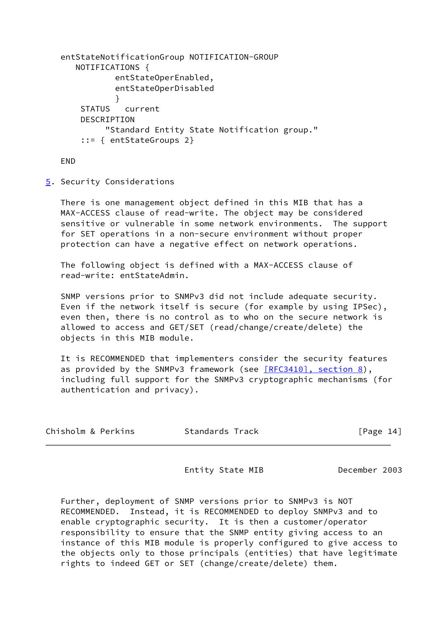```
 entStateNotificationGroup NOTIFICATION-GROUP
      NOTIFICATIONS {
              entStateOperEnabled,
              entStateOperDisabled
 }
       STATUS current
       DESCRIPTION
            "Standard Entity State Notification group."
       ::= { entStateGroups 2}
```
END

<span id="page-16-0"></span>[5](#page-16-0). Security Considerations

 There is one management object defined in this MIB that has a MAX-ACCESS clause of read-write. The object may be considered sensitive or vulnerable in some network environments. The support for SET operations in a non-secure environment without proper protection can have a negative effect on network operations.

 The following object is defined with a MAX-ACCESS clause of read-write: entStateAdmin.

 SNMP versions prior to SNMPv3 did not include adequate security. Even if the network itself is secure (for example by using IPSec), even then, there is no control as to who on the secure network is allowed to access and GET/SET (read/change/create/delete) the objects in this MIB module.

 It is RECOMMENDED that implementers consider the security features as provided by the SNMPv3 framework (see [\[RFC3410\], section](https://datatracker.ietf.org/doc/pdf/rfc3410#section-8) 8), including full support for the SNMPv3 cryptographic mechanisms (for authentication and privacy).

| Chisholm & Perkins | Standards Track | [Page 14] |
|--------------------|-----------------|-----------|
|--------------------|-----------------|-----------|

Entity State MIB December 2003

 Further, deployment of SNMP versions prior to SNMPv3 is NOT RECOMMENDED. Instead, it is RECOMMENDED to deploy SNMPv3 and to enable cryptographic security. It is then a customer/operator responsibility to ensure that the SNMP entity giving access to an instance of this MIB module is properly configured to give access to the objects only to those principals (entities) that have legitimate rights to indeed GET or SET (change/create/delete) them.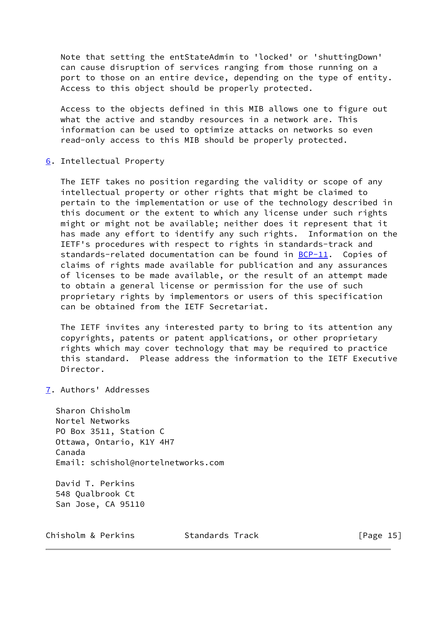Note that setting the entStateAdmin to 'locked' or 'shuttingDown' can cause disruption of services ranging from those running on a port to those on an entire device, depending on the type of entity. Access to this object should be properly protected.

 Access to the objects defined in this MIB allows one to figure out what the active and standby resources in a network are. This information can be used to optimize attacks on networks so even read-only access to this MIB should be properly protected.

<span id="page-17-0"></span>[6](#page-17-0). Intellectual Property

 The IETF takes no position regarding the validity or scope of any intellectual property or other rights that might be claimed to pertain to the implementation or use of the technology described in this document or the extent to which any license under such rights might or might not be available; neither does it represent that it has made any effort to identify any such rights. Information on the IETF's procedures with respect to rights in standards-track and standards-related documentation can be found in **BCP-11**. Copies of claims of rights made available for publication and any assurances of licenses to be made available, or the result of an attempt made to obtain a general license or permission for the use of such proprietary rights by implementors or users of this specification can be obtained from the IETF Secretariat.

 The IETF invites any interested party to bring to its attention any copyrights, patents or patent applications, or other proprietary rights which may cover technology that may be required to practice this standard. Please address the information to the IETF Executive Director.

<span id="page-17-1"></span>[7](#page-17-1). Authors' Addresses

 Sharon Chisholm Nortel Networks PO Box 3511, Station C Ottawa, Ontario, K1Y 4H7 Canada Email: schishol@nortelnetworks.com

 David T. Perkins 548 Qualbrook Ct San Jose, CA 95110

Chisholm & Perkins Standards Track [Page 15]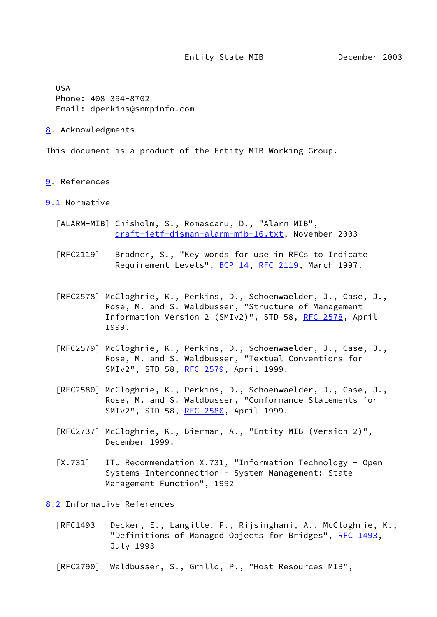Entity State MIB December 2003

 USA Phone: 408 394-8702 Email: dperkins@snmpinfo.com

<span id="page-18-1"></span>[8](#page-18-1). Acknowledgments

This document is a product of the Entity MIB Working Group.

<span id="page-18-2"></span>[9](#page-18-2). References

### <span id="page-18-3"></span>[9.1](#page-18-3) Normative

- [ALARM-MIB] Chisholm, S., Romascanu, D., "Alarm MIB", [draft-ietf-disman-alarm-mib-16.txt,](https://datatracker.ietf.org/doc/pdf/draft-ietf-disman-alarm-mib-16.txt) November 2003
- [RFC2119] Bradner, S., "Key words for use in RFCs to Indicate Requirement Levels", [BCP 14](https://datatracker.ietf.org/doc/pdf/bcp14), [RFC 2119](https://datatracker.ietf.org/doc/pdf/rfc2119), March 1997.
- [RFC2578] McCloghrie, K., Perkins, D., Schoenwaelder, J., Case, J., Rose, M. and S. Waldbusser, "Structure of Management Information Version 2 (SMIv2)", STD 58, [RFC 2578](https://datatracker.ietf.org/doc/pdf/rfc2578), April 1999.
- [RFC2579] McCloghrie, K., Perkins, D., Schoenwaelder, J., Case, J., Rose, M. and S. Waldbusser, "Textual Conventions for SMIv2", STD 58, [RFC 2579](https://datatracker.ietf.org/doc/pdf/rfc2579), April 1999.
- [RFC2580] McCloghrie, K., Perkins, D., Schoenwaelder, J., Case, J., Rose, M. and S. Waldbusser, "Conformance Statements for SMIv2", STD 58, [RFC 2580](https://datatracker.ietf.org/doc/pdf/rfc2580), April 1999.
- [RFC2737] McCloghrie, K., Bierman, A., "Entity MIB (Version 2)", December 1999.
- <span id="page-18-0"></span> [X.731] ITU Recommendation X.731, "Information Technology - Open Systems Interconnection - System Management: State Management Function", 1992
- <span id="page-18-4"></span>[8.2](#page-18-4) Informative References
	- [RFC1493] Decker, E., Langille, P., Rijsinghani, A., McCloghrie, K., "Definitions of Managed Objects for Bridges", [RFC 1493](https://datatracker.ietf.org/doc/pdf/rfc1493), July 1993
	- [RFC2790] Waldbusser, S., Grillo, P., "Host Resources MIB",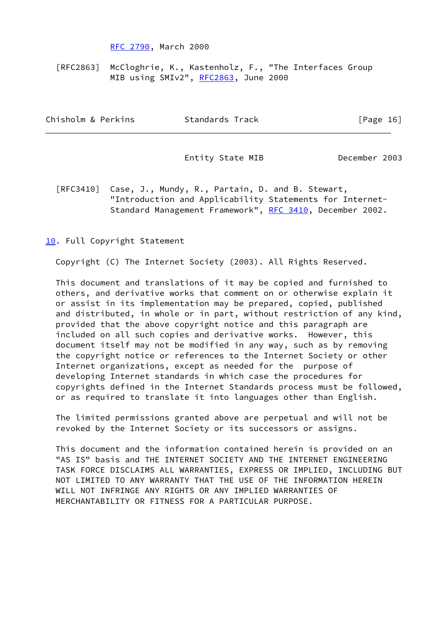[RFC 2790](https://datatracker.ietf.org/doc/pdf/rfc2790), March 2000

[RFC2863] McCloghrie, K., Kastenholz, F., "The Interfaces Group MIB using SMIv2", [RFC2863,](https://datatracker.ietf.org/doc/pdf/rfc2863) June 2000

| Chisholm & Perkins | Standards Track | [Page 16] |  |
|--------------------|-----------------|-----------|--|
|                    |                 |           |  |

Entity State MIB December 2003

 [RFC3410] Case, J., Mundy, R., Partain, D. and B. Stewart, "Introduction and Applicability Statements for Internet- Standard Management Framework", [RFC 3410](https://datatracker.ietf.org/doc/pdf/rfc3410), December 2002.

[10.](#page-1-0) Full Copyright Statement

Copyright (C) The Internet Society (2003). All Rights Reserved.

 This document and translations of it may be copied and furnished to others, and derivative works that comment on or otherwise explain it or assist in its implementation may be prepared, copied, published and distributed, in whole or in part, without restriction of any kind, provided that the above copyright notice and this paragraph are included on all such copies and derivative works. However, this document itself may not be modified in any way, such as by removing the copyright notice or references to the Internet Society or other Internet organizations, except as needed for the purpose of developing Internet standards in which case the procedures for copyrights defined in the Internet Standards process must be followed, or as required to translate it into languages other than English.

 The limited permissions granted above are perpetual and will not be revoked by the Internet Society or its successors or assigns.

 This document and the information contained herein is provided on an "AS IS" basis and THE INTERNET SOCIETY AND THE INTERNET ENGINEERING TASK FORCE DISCLAIMS ALL WARRANTIES, EXPRESS OR IMPLIED, INCLUDING BUT NOT LIMITED TO ANY WARRANTY THAT THE USE OF THE INFORMATION HEREIN WILL NOT INFRINGE ANY RIGHTS OR ANY IMPLIED WARRANTIES OF MERCHANTABILITY OR FITNESS FOR A PARTICULAR PURPOSE.